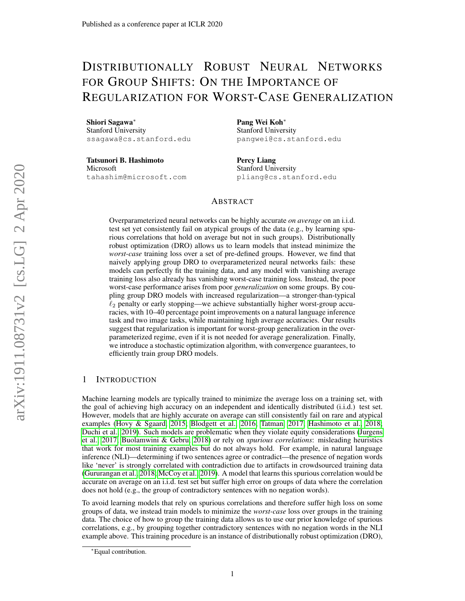# DISTRIBUTIONALLY ROBUST NEURAL NETWORKS FOR GROUP SHIFTS: ON THE IMPORTANCE OF REGULARIZATION FOR WORST-CASE GENERALIZATION

Shiori Sagawa<sup>∗</sup> Stanford University ssagawa@cs.stanford.edu

Tatsunori B. Hashimoto Microsoft tahashim@microsoft.com

Pang Wei Koh<sup>∗</sup> Stanford University pangwei@cs.stanford.edu

Percy Liang Stanford University pliang@cs.stanford.edu

## ABSTRACT

Overparameterized neural networks can be highly accurate *on average* on an i.i.d. test set yet consistently fail on atypical groups of the data (e.g., by learning spurious correlations that hold on average but not in such groups). Distributionally robust optimization (DRO) allows us to learn models that instead minimize the *worst-case* training loss over a set of pre-defined groups. However, we find that naively applying group DRO to overparameterized neural networks fails: these models can perfectly fit the training data, and any model with vanishing average training loss also already has vanishing worst-case training loss. Instead, the poor worst-case performance arises from poor *generalization* on some groups. By coupling group DRO models with increased regularization—a stronger-than-typical  $\ell_2$  penalty or early stopping—we achieve substantially higher worst-group accuracies, with 10–40 percentage point improvements on a natural language inference task and two image tasks, while maintaining high average accuracies. Our results suggest that regularization is important for worst-group generalization in the overparameterized regime, even if it is not needed for average generalization. Finally, we introduce a stochastic optimization algorithm, with convergence guarantees, to efficiently train group DRO models.

# 1 INTRODUCTION

Machine learning models are typically trained to minimize the average loss on a training set, with the goal of achieving high accuracy on an independent and identically distributed (i.i.d.) test set. However, models that are highly accurate on average can still consistently fail on rare and atypical examples [\(Hovy & Sgaard, 2015;](#page-11-0) [Blodgett et al., 2016;](#page-10-0) [Tatman, 2017;](#page-13-0) [Hashimoto et al., 2018;](#page-11-1) [Duchi et al., 2019\)](#page-11-2). Such models are problematic when they violate equity considerations [\(Jurgens](#page-12-0) [et al., 2017;](#page-12-0) [Buolamwini & Gebru, 2018\)](#page-10-1) or rely on *spurious correlations*: misleading heuristics that work for most training examples but do not always hold. For example, in natural language inference (NLI)—determining if two sentences agree or contradict—the presence of negation words like 'never' is strongly correlated with contradiction due to artifacts in crowdsourced training data [\(Gururangan et al., 2018;](#page-11-3) [McCoy et al., 2019\)](#page-12-1). A model that learns this spurious correlation would be accurate on average on an i.i.d. test set but suffer high error on groups of data where the correlation does not hold (e.g., the group of contradictory sentences with no negation words).

To avoid learning models that rely on spurious correlations and therefore suffer high loss on some groups of data, we instead train models to minimize the *worst-case* loss over groups in the training data. The choice of how to group the training data allows us to use our prior knowledge of spurious correlations, e.g., by grouping together contradictory sentences with no negation words in the NLI example above. This training procedure is an instance of distributionally robust optimization (DRO),

<sup>∗</sup>Equal contribution.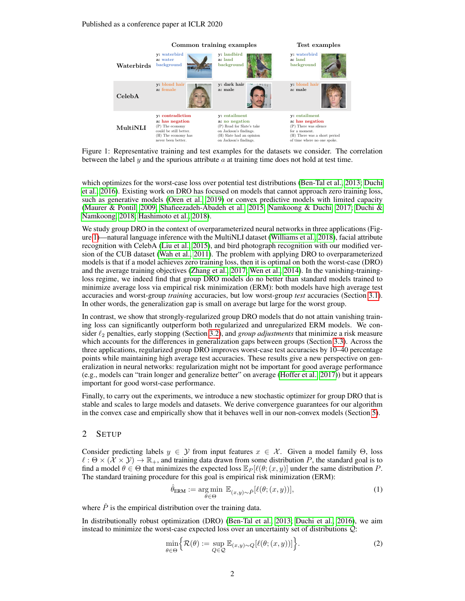<span id="page-1-0"></span>

Figure 1: Representative training and test examples for the datasets we consider. The correlation between the label y and the spurious attribute  $\alpha$  at training time does not hold at test time.

which optimizes for the worst-case loss over potential test distributions [\(Ben-Tal et al., 2013;](#page-10-2) [Duchi](#page-11-4) [et al., 2016\)](#page-11-4). Existing work on DRO has focused on models that cannot approach zero training loss, such as generative models [\(Oren et al., 2019\)](#page-12-2) or convex predictive models with limited capacity [\(Maurer & Pontil, 2009;](#page-12-3) [Shafieezadeh-Abadeh et al., 2015;](#page-12-4) [Namkoong & Duchi, 2017;](#page-12-5) [Duchi &](#page-11-5) [Namkoong, 2018;](#page-11-5) [Hashimoto et al., 2018\)](#page-11-1).

We study group DRO in the context of overparameterized neural networks in three applications (Figure [1\)](#page-1-0)—natural language inference with the MultiNLI dataset [\(Williams et al., 2018\)](#page-13-1), facial attribute recognition with CelebA [\(Liu et al., 2015\)](#page-12-6), and bird photograph recognition with our modified version of the CUB dataset [\(Wah et al., 2011\)](#page-13-2). The problem with applying DRO to overparameterized models is that if a model achieves zero training loss, then it is optimal on both the worst-case (DRO) and the average training objectives [\(Zhang et al., 2017;](#page-13-3) [Wen et al., 2014\)](#page-13-4). In the vanishing-trainingloss regime, we indeed find that group DRO models do no better than standard models trained to minimize average loss via empirical risk minimization (ERM): both models have high average test accuracies and worst-group *training* accuracies, but low worst-group *test* accuracies (Section [3.1\)](#page-3-0). In other words, the generalization gap is small on average but large for the worst group.

In contrast, we show that strongly-regularized group DRO models that do not attain vanishing training loss can significantly outperform both regularized and unregularized ERM models. We consider  $\ell_2$  penalties, early stopping (Section [3.2\)](#page-3-1), and *group adjustments* that minimize a risk measure which accounts for the differences in generalization gaps between groups (Section [3.3\)](#page-5-0). Across the three applications, regularized group DRO improves worst-case test accuracies by 10–40 percentage points while maintaining high average test accuracies. These results give a new perspective on generalization in neural networks: regularization might not be important for good average performance (e.g., models can "train longer and generalize better" on average [\(Hoffer et al., 2017\)](#page-11-6)) but it appears important for good worst-case performance.

Finally, to carry out the experiments, we introduce a new stochastic optimizer for group DRO that is stable and scales to large models and datasets. We derive convergence guarantees for our algorithm in the convex case and empirically show that it behaves well in our non-convex models (Section [5\)](#page-8-0).

# 2 SETUP

Consider predicting labels  $y \in Y$  from input features  $x \in \mathcal{X}$ . Given a model family  $\Theta$ , loss  $\ell : \Theta \times (\mathcal{X} \times \mathcal{Y}) \to \mathbb{R}_+$ , and training data drawn from some distribution P, the standard goal is to find a model  $\theta \in \Theta$  that minimizes the expected loss  $\mathbb{E}_P[\ell(\theta; (x, y))]$  under the same distribution P. The standard training procedure for this goal is empirical risk minimization (ERM):

<span id="page-1-2"></span>
$$
\hat{\theta}_{\text{ERM}} := \underset{\theta \in \Theta}{\text{arg min}} \ \mathbb{E}_{(x,y) \sim \hat{P}}[\ell(\theta; (x,y))],\tag{1}
$$

where  $\ddot{P}$  is the empirical distribution over the training data.

In distributionally robust optimization (DRO) [\(Ben-Tal et al., 2013;](#page-10-2) [Duchi et al., 2016\)](#page-11-4), we aim instead to minimize the worst-case expected loss over an uncertainty set of distributions Q:

<span id="page-1-1"></span>
$$
\min_{\theta \in \Theta} \Big\{ \mathcal{R}(\theta) := \sup_{Q \in \mathcal{Q}} \mathbb{E}_{(x,y) \sim Q} [\ell(\theta; (x, y))] \Big\}.
$$
 (2)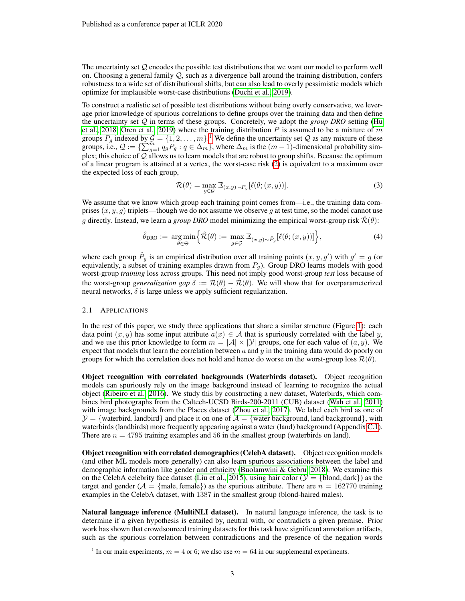The uncertainty set Q encodes the possible test distributions that we want our model to perform well on. Choosing a general family  $Q$ , such as a divergence ball around the training distribution, confers robustness to a wide set of distributional shifts, but can also lead to overly pessimistic models which optimize for implausible worst-case distributions [\(Duchi et al., 2019\)](#page-11-2).

To construct a realistic set of possible test distributions without being overly conservative, we leverage prior knowledge of spurious correlations to define groups over the training data and then define the uncertainty set Q in terms of these groups. Concretely, we adopt the *group DRO* setting [\(Hu](#page-11-7) [et al., 2018;](#page-11-7) [Oren et al., 2019\)](#page-12-2) where the training distribution P is assumed to be a mixture of m groups  $P_g$  indexed by  $\mathcal{G} = \{1, 2, ..., m\}$  $\mathcal{G} = \{1, 2, ..., m\}$  $\mathcal{G} = \{1, 2, ..., m\}$ .<sup>1</sup> We define the uncertainty set  $\mathcal Q$  as any mixture of these groups, i.e.,  $Q := \{ \sum_{g=1}^{m} q_g P_g : q \in \Delta_m \}$ , where  $\Delta_m$  is the  $(m-1)$ -dimensional probability simplex; this choice of  $Q$  allows us to learn models that are robust to group shifts. Because the optimum of a linear program is attained at a vertex, the worst-case risk [\(2\)](#page-1-1) is equivalent to a maximum over the expected loss of each group,

<span id="page-2-1"></span>
$$
\mathcal{R}(\theta) = \max_{g \in \mathcal{G}} \mathbb{E}_{(x,y) \sim P_g} [\ell(\theta; (x, y))]. \tag{3}
$$

We assume that we know which group each training point comes from—i.e., the training data comprises  $(x, y, g)$  triplets—though we do not assume we observe g at test time, so the model cannot use g directly. Instead, we learn a *group DRO* model minimizing the empirical worst-group risk  $\mathcal{R}(\theta)$ :

$$
\hat{\theta}_{\text{DRO}} := \underset{\theta \in \Theta}{\arg \min} \Big\{ \hat{\mathcal{R}}(\theta) := \underset{g \in \mathcal{G}}{\max} \mathbb{E}_{(x,y) \sim \hat{P}_g} [\ell(\theta; (x,y))] \Big\},\tag{4}
$$

where each group  $\hat{P}_g$  is an empirical distribution over all training points  $(x, y, g')$  with  $g' = g$  (or equivalently, a subset of training examples drawn from  $P_q$ ). Group DRO learns models with good worst-group *training* loss across groups. This need not imply good worst-group *test* loss because of the worst-group *generalization gap*  $\delta := \mathcal{R}(\theta) - \hat{\mathcal{R}}(\theta)$ . We will show that for overparameterized neural networks,  $\delta$  is large unless we apply sufficient regularization.

#### 2.1 APPLICATIONS

In the rest of this paper, we study three applications that share a similar structure (Figure [1\)](#page-1-0): each data point  $(x, y)$  has some input attribute  $a(x) \in A$  that is spuriously correlated with the label y, and we use this prior knowledge to form  $m = |\mathcal{A}| \times |\mathcal{Y}|$  groups, one for each value of  $(a, y)$ . We expect that models that learn the correlation between  $a$  and  $y$  in the training data would do poorly on groups for which the correlation does not hold and hence do worse on the worst-group loss  $\mathcal{R}(\theta)$ .

Object recognition with correlated backgrounds (Waterbirds dataset). Object recognition models can spuriously rely on the image background instead of learning to recognize the actual object [\(Ribeiro et al., 2016\)](#page-12-7). We study this by constructing a new dataset, Waterbirds, which combines bird photographs from the Caltech-UCSD Birds-200-2011 (CUB) dataset [\(Wah et al., 2011\)](#page-13-2) with image backgrounds from the Places dataset [\(Zhou et al., 2017\)](#page-13-5). We label each bird as one of  $\mathcal{Y} = \{\text{waterbird}, \text{landbird}\}\$ and place it on one of  $\mathcal{A} = \{\text{water background}, \text{land background}\}\$ , with waterbirds (landbirds) more frequently appearing against a water (land) background (Appendix [C.1\)](#page-16-0). There are  $n = 4795$  training examples and 56 in the smallest group (waterbirds on land).

Object recognition with correlated demographics (CelebA dataset). Object recognition models (and other ML models more generally) can also learn spurious associations between the label and demographic information like gender and ethnicity [\(Buolamwini & Gebru, 2018\)](#page-10-1). We examine this on the CelebA celebrity face dataset [\(Liu et al., 2015\)](#page-12-6), using hair color ( $\mathcal{Y} = \{\text{blond}, \text{dark}\}\$ ) as the target and gender ( $A = \{male, female\}$ ) as the spurious attribute. There are  $n = 162770$  training examples in the CelebA dataset, with 1387 in the smallest group (blond-haired males).

Natural language inference (MultiNLI dataset). In natural language inference, the task is to determine if a given hypothesis is entailed by, neutral with, or contradicts a given premise. Prior work has shown that crowdsourced training datasets for this task have significant annotation artifacts, such as the spurious correlation between contradictions and the presence of the negation words

<span id="page-2-0"></span><sup>&</sup>lt;sup>1</sup> In our main experiments,  $m = 4$  or 6; we also use  $m = 64$  in our supplemental experiments.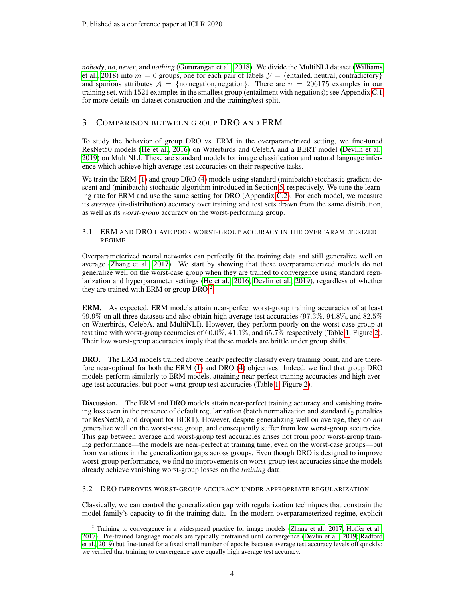*nobody*, *no*, *never*, and *nothing* [\(Gururangan et al., 2018\)](#page-11-3). We divide the MultiNLI dataset [\(Williams](#page-13-1) [et al., 2018\)](#page-13-1) into  $m = 6$  groups, one for each pair of labels  $\mathcal{Y} = \{\text{entailed, neutral, contradictory}\}\$ and spurious attributes  $A = \{no negation, negation\}$ . There are  $n = 206175$  examples in our training set, with 1521 examples in the smallest group (entailment with negations); see Appendix [C.1](#page-16-0) for more details on dataset construction and the training/test split.

# 3 COMPARISON BETWEEN GROUP DRO AND ERM

To study the behavior of group DRO vs. ERM in the overparametrized setting, we fine-tuned ResNet50 models [\(He et al., 2016\)](#page-11-8) on Waterbirds and CelebA and a BERT model [\(Devlin et al.,](#page-11-9) [2019\)](#page-11-9) on MultiNLI. These are standard models for image classification and natural language inference which achieve high average test accuracies on their respective tasks.

We train the ERM [\(1\)](#page-1-2) and group DRO [\(4\)](#page-2-1) models using standard (minibatch) stochastic gradient descent and (minibatch) stochastic algorithm introduced in Section [5,](#page-8-0) respectively. We tune the learning rate for ERM and use the same setting for DRO (Appendix [C.2\)](#page-17-0). For each model, we measure its *average* (in-distribution) accuracy over training and test sets drawn from the same distribution, as well as its *worst-group* accuracy on the worst-performing group.

## <span id="page-3-0"></span>3.1 ERM AND DRO HAVE POOR WORST-GROUP ACCURACY IN THE OVERPARAMETERIZED REGIME

Overparameterized neural networks can perfectly fit the training data and still generalize well on average [\(Zhang et al., 2017\)](#page-13-3). We start by showing that these overparameterized models do not generalize well on the worst-case group when they are trained to convergence using standard regularization and hyperparameter settings [\(He et al., 2016;](#page-11-8) [Devlin et al., 2019\)](#page-11-9), regardless of whether they are trained with ERM or group DRO.[2](#page-3-2)

ERM. As expected, ERM models attain near-perfect worst-group training accuracies of at least 99.9% on all three datasets and also obtain high average test accuracies (97.3%, 94.8%, and 82.5% on Waterbirds, CelebA, and MultiNLI). However, they perform poorly on the worst-case group at test time with worst-group accuracies of 60.0%, 41.1%, and 65.7% respectively (Table [1,](#page-4-0) Figure [2\)](#page-4-1). Their low worst-group accuracies imply that these models are brittle under group shifts.

DRO. The ERM models trained above nearly perfectly classify every training point, and are therefore near-optimal for both the ERM [\(1\)](#page-1-2) and DRO [\(4\)](#page-2-1) objectives. Indeed, we find that group DRO models perform similarly to ERM models, attaining near-perfect training accuracies and high average test accuracies, but poor worst-group test accuracies (Table [1,](#page-4-0) Figure [2\)](#page-4-1).

Discussion. The ERM and DRO models attain near-perfect training accuracy and vanishing training loss even in the presence of default regularization (batch normalization and standard  $\ell_2$  penalties for ResNet50, and dropout for BERT). However, despite generalizing well on average, they do *not* generalize well on the worst-case group, and consequently suffer from low worst-group accuracies. This gap between average and worst-group test accuracies arises not from poor worst-group training performance—the models are near-perfect at training time, even on the worst-case groups—but from variations in the generalization gaps across groups. Even though DRO is designed to improve worst-group performance, we find no improvements on worst-group test accuracies since the models already achieve vanishing worst-group losses on the *training* data.

# <span id="page-3-1"></span>3.2 DRO IMPROVES WORST-GROUP ACCURACY UNDER APPROPRIATE REGULARIZATION

Classically, we can control the generalization gap with regularization techniques that constrain the model family's capacity to fit the training data. In the modern overparameterized regime, explicit

<span id="page-3-2"></span> $2$  Training to convergence is a widespread practice for image models [\(Zhang et al., 2017;](#page-13-3) [Hoffer et al.,](#page-11-6) [2017\)](#page-11-6). Pre-trained language models are typically pretrained until convergence [\(Devlin et al., 2019;](#page-11-9) [Radford](#page-12-8) [et al., 2019\)](#page-12-8) but fine-tuned for a fixed small number of epochs because average test accuracy levels off quickly; we verified that training to convergence gave equally high average test accuracy.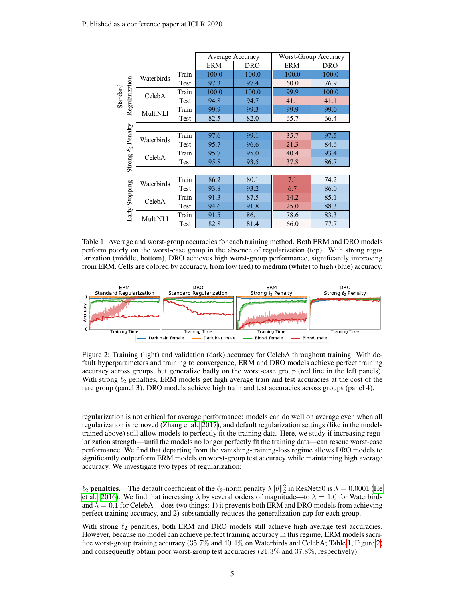<span id="page-4-0"></span>

|                              |            |       |            | Average Accuracy | Worst-Group Accuracy |            |  |  |
|------------------------------|------------|-------|------------|------------------|----------------------|------------|--|--|
|                              |            |       | <b>ERM</b> | <b>DRO</b>       | <b>ERM</b>           | <b>DRO</b> |  |  |
| Regularization<br>Standard   | Waterbirds | Train | 100.0      | 100.0            | 100.0                | 100.0      |  |  |
|                              |            | Test  | 97.3       | 97.4             | 60.0                 | 76.9       |  |  |
|                              | CelebA     | Train | 100.0      | 100.0            | 99.9                 | 100.0      |  |  |
|                              |            | Test  | 94.8       | 94.7             | 41.1                 | 41.1       |  |  |
|                              | MultiNLI   | Train | 99.9       | 99.3             | 99.9                 | 99.0       |  |  |
|                              |            | Test  | 82.5       | 82.0             | 65.7                 | 66.4       |  |  |
|                              |            |       |            |                  |                      |            |  |  |
| Penalty<br>$\mathcal{L}_{2}$ | Waterbirds | Train | 97.6       | 99.1             | 35.7                 | 97.5       |  |  |
|                              |            | Test  | 95.7       | 96.6             | 21.3                 | 84.6       |  |  |
|                              | CelebA     | Train | 95.7       | 95.0             | 40.4                 | 93.4       |  |  |
| Strong                       |            | Test  | 95.8       | 93.5             | 37.8                 | 86.7       |  |  |
|                              |            |       |            |                  |                      |            |  |  |
|                              | Waterbirds | Train | 86.2       | 80.1             | 7.1                  | 74.2       |  |  |
| Stopping                     |            | Test  | 93.8       | 93.2             | 6.7                  | 86.0       |  |  |
|                              | CelebA     | Train | 91.3       | 87.5             | 14.2                 | 85.1       |  |  |
|                              |            | Test  | 94.6       | 91.8             | 25.0                 | 88.3       |  |  |
| Early                        | MultiNLI   | Train | 91.5       | 86.1             | 78.6                 | 83.3       |  |  |
|                              |            | Test  | 82.8       | 81.4             | 66.0                 | 77.7       |  |  |

Table 1: Average and worst-group accuracies for each training method. Both ERM and DRO models perform poorly on the worst-case group in the absence of regularization (top). With strong regularization (middle, bottom), DRO achieves high worst-group performance, significantly improving from ERM. Cells are colored by accuracy, from low (red) to medium (white) to high (blue) accuracy.

<span id="page-4-1"></span>

Figure 2: Training (light) and validation (dark) accuracy for CelebA throughout training. With default hyperparameters and training to convergence, ERM and DRO models achieve perfect training accuracy across groups, but generalize badly on the worst-case group (red line in the left panels). With strong  $\ell_2$  penalties, ERM models get high average train and test accuracies at the cost of the rare group (panel 3). DRO models achieve high train and test accuracies across groups (panel 4).

regularization is not critical for average performance: models can do well on average even when all regularization is removed [\(Zhang et al., 2017\)](#page-13-3), and default regularization settings (like in the models trained above) still allow models to perfectly fit the training data. Here, we study if increasing regularization strength—until the models no longer perfectly fit the training data—can rescue worst-case performance. We find that departing from the vanishing-training-loss regime allows DRO models to significantly outperform ERM models on worst-group test accuracy while maintaining high average accuracy. We investigate two types of regularization:

 $\ell_2$  penalties. The default coefficient of the  $\ell_2$ -norm penalty  $\lambda ||\theta||_2^2$  in ResNet50 is  $\lambda = 0.0001$  [\(He](#page-11-8) [et al., 2016\)](#page-11-8). We find that increasing  $\lambda$  by several orders of magnitude—to  $\lambda = 1.0$  for Waterbirds and  $\lambda = 0.1$  for CelebA—does two things: 1) it prevents both ERM and DRO models from achieving perfect training accuracy, and 2) substantially reduces the generalization gap for each group.

With strong  $\ell_2$  penalties, both ERM and DRO models still achieve high average test accuracies. However, because no model can achieve perfect training accuracy in this regime, ERM models sacrifice worst-group training accuracy (35.7% and 40.4% on Waterbirds and CelebA; Table [1,](#page-4-0) Figure [2\)](#page-4-1) and consequently obtain poor worst-group test accuracies (21.3% and 37.8%, respectively).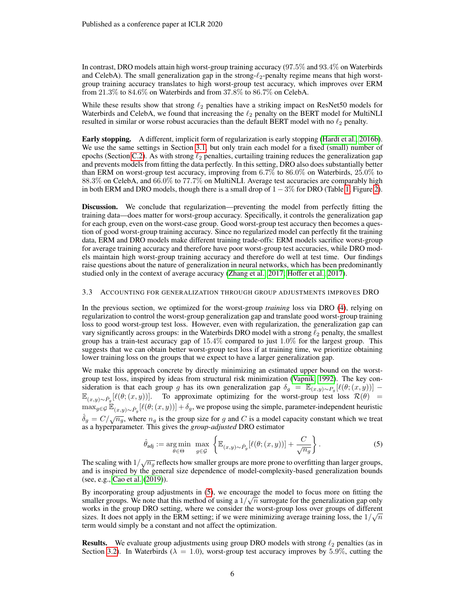In contrast, DRO models attain high worst-group training accuracy (97.5% and 93.4% on Waterbirds and CelebA). The small generalization gap in the strong- $\ell_2$ -penalty regime means that high worstgroup training accuracy translates to high worst-group test accuracy, which improves over ERM from 21.3% to 84.6% on Waterbirds and from 37.8% to 86.7% on CelebA.

While these results show that strong  $\ell_2$  penalties have a striking impact on ResNet50 models for Waterbirds and CelebA, we found that increasing the  $\ell_2$  penalty on the BERT model for MultiNLI resulted in similar or worse robust accuracies than the default BERT model with no  $\ell_2$  penalty.

Early stopping. A different, implicit form of regularization is early stopping [\(Hardt et al., 2016b\)](#page-11-10). We use the same settings in Section [3.1,](#page-3-0) but only train each model for a fixed (small) number of epochs (Section [C.2\)](#page-17-0). As with strong  $\ell_2$  penalties, curtailing training reduces the generalization gap and prevents models from fitting the data perfectly. In this setting, DRO also does substantially better than ERM on worst-group test accuracy, improving from 6.7% to 86.0% on Waterbirds, 25.0% to 88.3% on CelebA, and 66.0% to 77.7% on MultiNLI. Average test accuracies are comparably high in both ERM and DRO models, though there is a small drop of  $1 - 3\%$  for DRO (Table [1,](#page-4-0) Figure [2\)](#page-4-1).

Discussion. We conclude that regularization—preventing the model from perfectly fitting the training data—does matter for worst-group accuracy. Specifically, it controls the generalization gap for each group, even on the worst-case group. Good worst-group test accuracy then becomes a question of good worst-group training accuracy. Since no regularized model can perfectly fit the training data, ERM and DRO models make different training trade-offs: ERM models sacrifice worst-group for average training accuracy and therefore have poor worst-group test accuracies, while DRO models maintain high worst-group training accuracy and therefore do well at test time. Our findings raise questions about the nature of generalization in neural networks, which has been predominantly studied only in the context of average accuracy [\(Zhang et al., 2017;](#page-13-3) [Hoffer et al., 2017\)](#page-11-6).

#### <span id="page-5-0"></span>3.3 ACCOUNTING FOR GENERALIZATION THROUGH GROUP ADJUSTMENTS IMPROVES DRO

In the previous section, we optimized for the worst-group *training* loss via DRO [\(4\)](#page-2-1), relying on regularization to control the worst-group generalization gap and translate good worst-group training loss to good worst-group test loss. However, even with regularization, the generalization gap can vary significantly across groups: in the Waterbirds DRO model with a strong  $\ell_2$  penalty, the smallest group has a train-test accuracy gap of 15.4% compared to just 1.0% for the largest group. This suggests that we can obtain better worst-group test loss if at training time, we prioritize obtaining lower training loss on the groups that we expect to have a larger generalization gap.

We make this approach concrete by directly minimizing an estimated upper bound on the worstgroup test loss, inspired by ideas from structural risk minimization [\(Vapnik, 1992\)](#page-13-6). The key consideration is that each group g has its own generalization gap  $\delta_g = \mathbb{E}_{(x,y)\sim P_g}[\ell(\theta;(x,y))]$  –  $\mathbb{E}_{(x,y)\sim \hat{P}_g}[\ell(\theta; (x,y))].$  To approximate optimizing for the worst-group test loss  $\mathcal{R}(\theta)$  =  $\max_{g \in \mathcal{G}} \mathbb{E}_{(x,y)\sim \hat{P}_g}[\ell(\theta; (x, y))] + \delta_g$ , we propose using the simple, parameter-independent heuristic  $\delta_g = C/\sqrt{n_g}$ , where  $n_g$  is the group size for g and C is a model capacity constant which we treat as a hyperparameter. This gives the *group-adjusted* DRO estimator

<span id="page-5-1"></span>
$$
\hat{\theta}_{\text{adj}} := \underset{\theta \in \Theta}{\text{arg min}} \max_{g \in \mathcal{G}} \left\{ \mathbb{E}_{(x,y) \sim \hat{P}_g} [\ell(\theta; (x,y))] + \frac{C}{\sqrt{n_g}} \right\}.
$$
 (5)

The scaling with  $1/\sqrt{n_g}$  reflects how smaller groups are more prone to overfitting than larger groups, and is inspired by the general size dependence of model-complexity-based generalization bounds (see, e.g., [Cao et al.](#page-11-11) [\(2019\)](#page-11-11)).

By incorporating group adjustments in  $(5)$ , we encourage the model to focus more on fitting the smaller groups. We note that this method of using a  $1/\sqrt{n}$  surrogate for the generalization gap only works in the group DRO setting, where we consider the worst-group loss over groups of different sizes. It does not apply in the ERM setting; if we were minimizing average training loss, the  $1/\sqrt{n}$ term would simply be a constant and not affect the optimization.

**Results.** We evaluate group adjustments using group DRO models with strong  $\ell_2$  penalties (as in Section [3.2\)](#page-3-1). In Waterbirds ( $\lambda = 1.0$ ), worst-group test accuracy improves by 5.9%, cutting the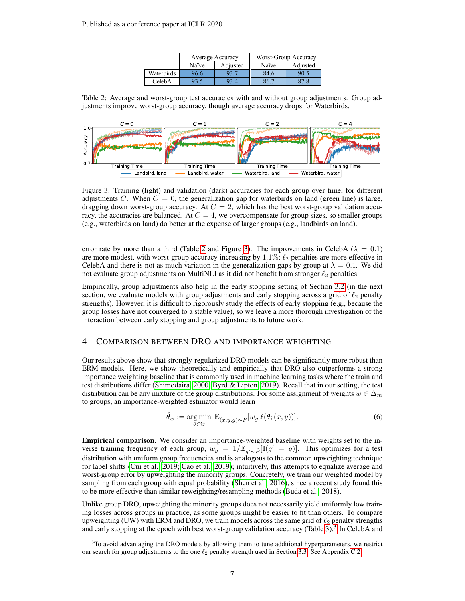|            |       | Average Accuracy | Worst-Group Accuracy |          |  |
|------------|-------|------------------|----------------------|----------|--|
|            | Naïve | Adjusted         | Naïve                | Adjusted |  |
| Waterbirds | 96.6  |                  | 84.6                 | 90.5     |  |
| CelebA     |       |                  |                      |          |  |

<span id="page-6-0"></span>

<span id="page-6-1"></span>

Figure 3: Training (light) and validation (dark) accuracies for each group over time, for different adjustments C. When  $C = 0$ , the generalization gap for waterbirds on land (green line) is large, dragging down worst-group accuracy. At  $C = 2$ , which has the best worst-group validation accuracy, the accuracies are balanced. At  $C = 4$ , we overcompensate for group sizes, so smaller groups (e.g., waterbirds on land) do better at the expense of larger groups (e.g., landbirds on land).

error rate by more than a third (Table [2](#page-6-0) and Figure [3\)](#page-6-1). The improvements in CelebA ( $\lambda = 0.1$ ) are more modest, with worst-group accuracy increasing by  $1.1\%$ ;  $\ell_2$  penalties are more effective in CelebA and there is not as much variation in the generalization gaps by group at  $\lambda = 0.1$ . We did not evaluate group adjustments on MultiNLI as it did not benefit from stronger  $\ell_2$  penalties.

Empirically, group adjustments also help in the early stopping setting of Section [3.2](#page-3-1) (in the next section, we evaluate models with group adjustments and early stopping across a grid of  $\ell_2$  penalty strengths). However, it is difficult to rigorously study the effects of early stopping (e.g., because the group losses have not converged to a stable value), so we leave a more thorough investigation of the interaction between early stopping and group adjustments to future work.

# <span id="page-6-3"></span>4 COMPARISON BETWEEN DRO AND IMPORTANCE WEIGHTING

Our results above show that strongly-regularized DRO models can be significantly more robust than ERM models. Here, we show theoretically and empirically that DRO also outperforms a strong importance weighting baseline that is commonly used in machine learning tasks where the train and test distributions differ [\(Shimodaira, 2000;](#page-13-7) [Byrd & Lipton, 2019\)](#page-10-3). Recall that in our setting, the test distribution can be any mixture of the group distributions. For some assignment of weights  $w \in \Delta_m$ to groups, an importance-weighted estimator would learn

$$
\hat{\theta}_w := \underset{\theta \in \Theta}{\arg \min} \ \mathbb{E}_{(x,y,g)\sim \hat{P}}[w_g \ \ell(\theta; (x,y))]. \tag{6}
$$

Empirical comparison. We consider an importance-weighted baseline with weights set to the inverse training frequency of each group,  $w_g = 1/\mathbb{E}_{g' \sim \hat{P}}[\mathbb{I}(g' = g)]$ . This optimizes for a test distribution with uniform group frequencies and is analogous to the common upweighting technique for label shifts [\(Cui et al., 2019;](#page-11-12) [Cao et al., 2019\)](#page-11-11); intuitively, this attempts to equalize average and worst-group error by upweighting the minority groups. Concretely, we train our weighted model by sampling from each group with equal probability [\(Shen et al., 2016\)](#page-12-9), since a recent study found this to be more effective than similar reweighting/resampling methods [\(Buda et al., 2018\)](#page-10-4).

Unlike group DRO, upweighting the minority groups does not necessarily yield uniformly low training losses across groups in practice, as some groups might be easier to fit than others. To compare upweighting (UW) with ERM and DRO, we train models across the same grid of  $\ell_2$  penalty strengths and early stopping at the epoch with best worst-group validation accuracy (Table [3\)](#page-7-0).<sup>[3](#page-6-2)</sup> In CelebA and

<span id="page-6-2"></span> $3$ To avoid advantaging the DRO models by allowing them to tune additional hyperparameters, we restrict our search for group adjustments to the one  $\ell_2$  penalty strength used in Section [3.3.](#page-5-0) See Appendix [C.2.](#page-17-0)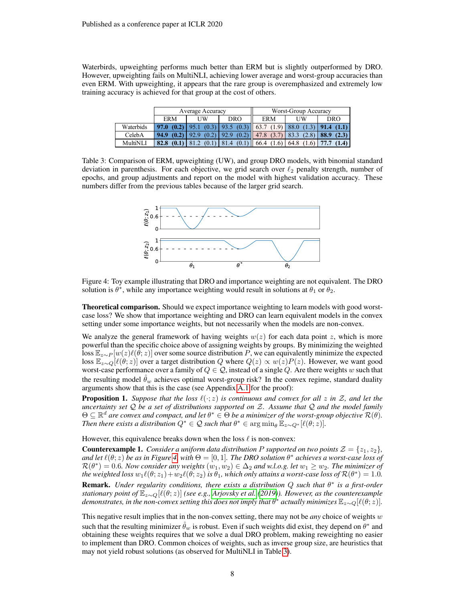Waterbirds, upweighting performs much better than ERM but is slightly outperformed by DRO. However, upweighting fails on MultiNLI, achieving lower average and worst-group accuracies than even ERM. With upweighting, it appears that the rare group is overemphasized and extremely low training accuracy is achieved for that group at the cost of others.

<span id="page-7-0"></span>

|                 |                     | Average Accuracy |                                                                                    | Worst-Group Accuracy |    |            |  |
|-----------------|---------------------|------------------|------------------------------------------------------------------------------------|----------------------|----|------------|--|
|                 | <b>ERM</b>          | UW               | <b>DRO</b>                                                                         | <b>ERM</b>           | UW | <b>DRO</b> |  |
| Waterbids       | 97.0 $(0.2)$   95.1 |                  | $(0.3)$   93.5 $(0.3)$   63.7 $(1.9)$   88.0 $(1.3)$   91.4 $(1.1)$                |                      |    |            |  |
| CelebA          |                     |                  | <b>94.9</b> (0.2)   92.9 (0.2)   92.9 (0.2)   47.8 (3.7)   83.3 (2.8)   88.9 (2.3) |                      |    |            |  |
| <b>MultiNLI</b> |                     |                  | <b>82.8</b> (0.1)   81.2 (0.1)   81.4 (0.1)   66.4 (1.6)   64.8 (1.6)   77.7 (1.4) |                      |    |            |  |

<span id="page-7-1"></span>Table 3: Comparison of ERM, upweighting (UW), and group DRO models, with binomial standard deviation in parenthesis. For each objective, we grid search over  $\ell_2$  penalty strength, number of epochs, and group adjustments and report on the model with highest validation accuracy. These numbers differ from the previous tables because of the larger grid search.



Figure 4: Toy example illustrating that DRO and importance weighting are not equivalent. The DRO solution is  $\theta^*$ , while any importance weighting would result in solutions at  $\theta_1$  or  $\theta_2$ .

**Theoretical comparison.** Should we expect importance weighting to learn models with good worstcase loss? We show that importance weighting and DRO can learn equivalent models in the convex setting under some importance weights, but not necessarily when the models are non-convex.

We analyze the general framework of having weights  $w(z)$  for each data point z, which is more powerful than the specific choice above of assigning weights by groups. By minimizing the weighted loss  $\mathbb{E}_{z\sim P}[w(z)\ell(\theta;z)]$  over some source distribution P, we can equivalently minimize the expected loss  $\mathbb{E}_{z\sim Q}[\ell(\theta;z)]$  over a target distribution Q where  $Q(z) \propto w(z)P(z)$ . However, we want good worst-case performance over a family of  $Q \in \mathcal{Q}$ , instead of a single Q. Are there weights w such that the resulting model  $\hat{\theta}_w$  achieves optimal worst-group risk? In the convex regime, standard duality arguments show that this is the case (see Appendix [A.1](#page-13-8) for the proof):

<span id="page-7-2"></span>**Proposition 1.** *Suppose that the loss*  $\ell(\cdot;z)$  *is continuous and convex for all* z *in* Z, and let the *uncertainty set* Q *be a set of distributions supported on* Z*. Assume that* Q *and the model family*  $\Theta \subseteq \mathbb{R}^d$  are convex and compact, and let  $\theta^* \in \Theta$  be a minimizer of the worst-group objective  $\mathcal{R}(\theta)$ . *Then there exists a distribution*  $Q^* \in \mathcal{Q}$  such that  $\theta^* \in \arg\min_{\theta} \check{\mathbb{E}}_{z \sim Q^*} [\ell(\theta; z)].$ 

However, this equivalence breaks down when the loss  $\ell$  is non-convex:

**Counterexample 1.** *Consider a uniform data distribution* P *supported on two points*  $\mathcal{Z} = \{z_1, z_2\}$ , and let  $\ell(\theta;z)$  be as in Figure [4,](#page-7-1) with  $\Theta = [0,1]$ . The DRO solution  $\theta^*$  achieves a worst-case loss of  $\mathcal{R}(\theta^*)=0.6$ . Now consider any weights  $(w_1,w_2)\in\Delta_2$  and w.l.o.g. let  $w_1\geq w_2$ . The minimizer of the weighted loss  $w_1\ell(\theta;z_1)+w_2\ell(\theta;z_2)$  is  $\theta_1$ , which only attains a worst-case loss of  $\mathcal{R}(\theta^*)=1.0$ . Remark. Under regularity conditions, there exists a distribution Q such that  $θ^*$  is a first-order *stationary point of*  $\mathbb{E}_{z \sim Q}[\ell(\theta; z)]$  *(see e.g., [Arjovsky et al.](#page-10-5)* [\(2019\)](#page-10-5)). However, as the counterexample  $d$ emonstrates, in the non-convex setting this does not imply that  $\theta^*$  actually minimizes  $\mathbb{E}_{z\sim Q}[\ell(\theta;z)].$ 

This negative result implies that in the non-convex setting, there may not be *any* choice of weights w such that the resulting minimizer  $\hat{\theta}_w$  is robust. Even if such weights did exist, they depend on  $\theta^*$  and obtaining these weights requires that we solve a dual DRO problem, making reweighting no easier to implement than DRO. Common choices of weights, such as inverse group size, are heuristics that may not yield robust solutions (as observed for MultiNLI in Table [3\)](#page-7-0).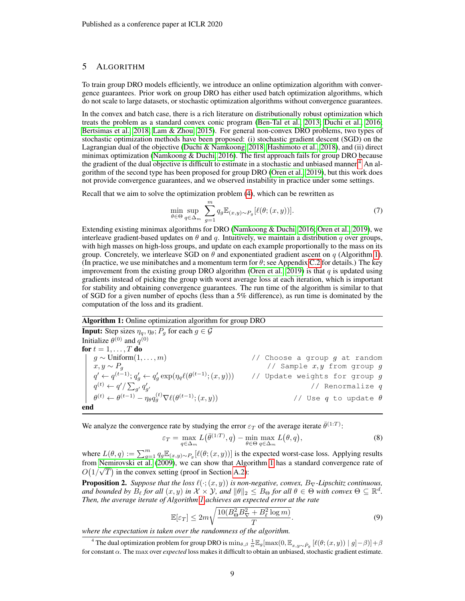# <span id="page-8-0"></span>5 ALGORITHM

To train group DRO models efficiently, we introduce an online optimization algorithm with convergence guarantees. Prior work on group DRO has either used batch optimization algorithms, which do not scale to large datasets, or stochastic optimization algorithms without convergence guarantees.

In the convex and batch case, there is a rich literature on distributionally robust optimization which treats the problem as a standard convex conic program [\(Ben-Tal et al., 2013;](#page-10-2) [Duchi et al., 2016;](#page-11-4) [Bertsimas et al., 2018;](#page-10-6) [Lam & Zhou, 2015\)](#page-12-10). For general non-convex DRO problems, two types of stochastic optimization methods have been proposed: (i) stochastic gradient descent (SGD) on the Lagrangian dual of the objective [\(Duchi & Namkoong, 2018;](#page-11-5) [Hashimoto et al., 2018\)](#page-11-1), and (ii) direct minimax optimization [\(Namkoong & Duchi, 2016\)](#page-12-11). The first approach fails for group DRO because the gradient of the dual objective is difficult to estimate in a stochastic and unbiased manner.<sup>[4](#page-8-1)</sup> An algorithm of the second type has been proposed for group DRO [\(Oren et al., 2019\)](#page-12-2), but this work does not provide convergence guarantees, and we observed instability in practice under some settings.

Recall that we aim to solve the optimization problem [\(4\)](#page-2-1), which can be rewritten as

$$
\min_{\theta \in \Theta} \sup_{q \in \Delta_m} \sum_{g=1}^m q_g \mathbb{E}_{(x,y)\sim P_g} [\ell(\theta; (x,y))]. \tag{7}
$$

Extending existing minimax algorithms for DRO [\(Namkoong & Duchi, 2016;](#page-12-11) [Oren et al., 2019\)](#page-12-2), we interleave gradient-based updates on  $\theta$  and  $q$ . Intuitively, we maintain a distribution q over groups, with high masses on high-loss groups, and update on each example proportionally to the mass on its group. Concretely, we interleave SGD on  $\theta$  and exponentiated gradient ascent on q (Algorithm [1\)](#page-8-2). (In practice, we use minibatches and a momentum term for  $\theta$ ; see Appendix [C.2](#page-17-0) for details.) The key improvement from the existing group DRO algorithm [\(Oren et al., 2019\)](#page-12-2) is that  $q$  is updated using gradients instead of picking the group with worst average loss at each iteration, which is important for stability and obtaining convergence guarantees. The run time of the algorithm is similar to that of SGD for a given number of epochs (less than a 5% difference), as run time is dominated by the computation of the loss and its gradient.

# <span id="page-8-2"></span>Algorithm 1: Online optimization algorithm for group DRO

**Input:** Step sizes  $\eta_q$ ,  $\eta_\theta$ ;  $P_q$  for each  $g \in \mathcal{G}$ Initialize  $\theta^{(0)}$  and  $q^{(0)}$ **for**  $t = 1, ..., T$  **do**<br> $\mid$   $g \sim$  Uniform $(1, ..., m)$  $g \sim \text{Uniform}(1, \ldots, m)$  // Choose a group  $g$  at random  $x, y \sim P_g$  // Sample  $x, y$  from group  $g$  $q' \leftarrow q^{(t-1)}; q'_g \leftarrow q'_g \exp(\eta_q \ell(\theta^{(t-1)};(x,y)))$  // Update weights for group  $g$  $q^{(t)} \leftarrow q'/\sum_{g'} q'_{g'}$  // Renormalize  $q$  $\theta^{(t)} \leftarrow \theta^{(t-1)} - \eta_\theta q^{(t)}_g \nabla \ell(\theta^{(t-1)};(x,y))$  // Use  $q$  to update  $\theta$ end

We analyze the convergence rate by studying the error  $\varepsilon_T$  of the average iterate  $\bar{\theta}^{(1:T)}$ :

$$
\varepsilon_T = \max_{q \in \Delta_m} L(\bar{\theta}^{(1:T)}, q) - \min_{\theta \in \Theta} \max_{q \in \Delta_m} L(\theta, q), \tag{8}
$$

where  $L(\theta, q) := \sum_{g=1}^m q_g \mathbb{E}_{(x,y)\sim P_g}[\ell(\theta; (x, y))]$  is the expected worst-case loss. Applying results from [Nemirovski et al.](#page-12-12) [\(2009\)](#page-12-12), we can show that Algorithm [1](#page-8-2) has a standard convergence rate of √  $O(1/\sqrt{T})$  in the convex setting (proof in Section [A.2\)](#page-14-0):

<span id="page-8-3"></span>**Proposition 2.** *Suppose that the loss*  $\ell(\cdot; (x, y))$  *is non-negative, convex,*  $B_{\nabla}$ *-Lipschitz continuous, and bounded by*  $B_\ell$  *for all*  $(x, y)$  *in*  $\mathcal{X} \times \mathcal{Y}$ *, and*  $\|\theta\|_2 \leq B_\Theta$  *for all*  $\theta \in \Theta$  *with convex*  $\Theta \subseteq \mathbb{R}^d$ *. Then, the average iterate of Algorithm [1](#page-8-2) achieves an expected error at the rate*

$$
\mathbb{E}[\varepsilon_T] \le 2m\sqrt{\frac{10(B_\Theta^2 B_\nabla^2 + B_\ell^2 \log m)}{T}}.\tag{9}
$$

*where the expectation is taken over the randomness of the algorithm.*

<span id="page-8-1"></span><sup>4</sup> The dual optimization problem for group DRO is  $\min_{\theta, \beta} \frac{1}{\alpha} \mathbb{E}_g[\max(0, \mathbb{E}_{x,y \sim \hat{P}_g} [\ell(\theta; (x, y)) | g] - \beta)] + \beta$ for constant α. The max over *expected* loss makes it difficult to obtain an unbiased, stochastic gradient estimate.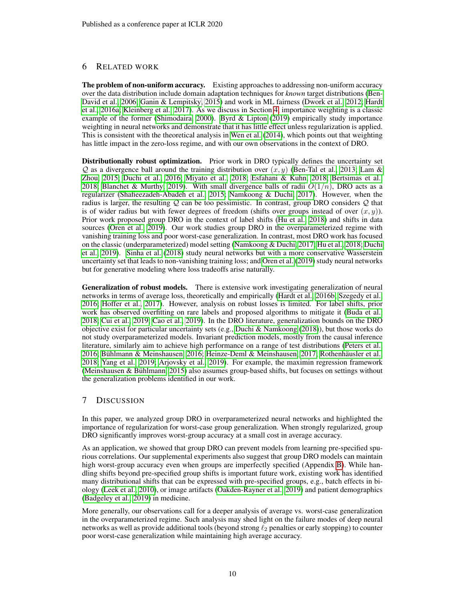# 6 RELATED WORK

The problem of non-uniform accuracy. Existing approaches to addressing non-uniform accuracy over the data distribution include domain adaptation techniques for *known* target distributions [\(Ben-](#page-10-7)[David et al., 2006;](#page-10-7) [Ganin & Lempitsky, 2015\)](#page-11-13) and work in ML fairness [\(Dwork et al., 2012;](#page-11-14) [Hardt](#page-11-15) [et al., 2016a;](#page-11-15) [Kleinberg et al., 2017\)](#page-12-13). As we discuss in Section [4,](#page-6-3) importance weighting is a classic example of the former [\(Shimodaira, 2000\)](#page-13-7). [Byrd & Lipton](#page-10-3) [\(2019\)](#page-10-3) empirically study importance weighting in neural networks and demonstrate that it has little effect unless regularization is applied. This is consistent with the theoretical analysis in [Wen et al.](#page-13-4) [\(2014\)](#page-13-4), which points out that weighting has little impact in the zero-loss regime, and with our own observations in the context of DRO.

Distributionally robust optimization. Prior work in DRO typically defines the uncertainty set  $Q$  as a divergence ball around the training distribution over  $(x, y)$  [\(Ben-Tal et al., 2013;](#page-10-2) [Lam &](#page-12-10) [Zhou, 2015;](#page-12-10) [Duchi et al., 2016;](#page-11-4) [Miyato et al., 2018;](#page-12-14) [Esfahani & Kuhn, 2018;](#page-11-16) [Bertsimas et al.,](#page-10-6) [2018;](#page-10-6) [Blanchet & Murthy, 2019\)](#page-10-8). With small divergence balls of radii  $O(1/n)$ , DRO acts as a regularizer [\(Shafieezadeh-Abadeh et al., 2015;](#page-12-4) [Namkoong & Duchi, 2017\)](#page-12-5). However, when the radius is larger, the resulting  $Q$  can be too pessimistic. In contrast, group DRO considers  $Q$  that is of wider radius but with fewer degrees of freedom (shifts over groups instead of over  $(x, y)$ ). Prior work proposed group DRO in the context of label shifts [\(Hu et al., 2018\)](#page-11-7) and shifts in data sources [\(Oren et al., 2019\)](#page-12-2). Our work studies group DRO in the overparameterized regime with vanishing training loss and poor worst-case generalization. In contrast, most DRO work has focused on the classic (underparameterized) model setting [\(Namkoong & Duchi, 2017;](#page-12-5) [Hu et al., 2018;](#page-11-7) [Duchi](#page-11-2) [et al., 2019\)](#page-11-2). [Sinha et al.](#page-13-9) [\(2018\)](#page-13-9) study neural networks but with a more conservative Wasserstein uncertainty set that leads to non-vanishing training loss; and [Oren et al.](#page-12-2) [\(2019\)](#page-12-2) study neural networks but for generative modeling where loss tradeoffs arise naturally.

Generalization of robust models. There is extensive work investigating generalization of neural networks in terms of average loss, theoretically and empirically [\(Hardt et al., 2016b;](#page-11-10) [Szegedy et al.,](#page-13-10) [2016;](#page-13-10) [Hoffer et al., 2017\)](#page-11-6). However, analysis on robust losses is limited. For label shifts, prior work has observed overfitting on rare labels and proposed algorithms to mitigate it [\(Buda et al.,](#page-10-4) [2018;](#page-10-4) [Cui et al., 2019;](#page-11-12) [Cao et al., 2019\)](#page-11-11). In the DRO literature, generalization bounds on the DRO objective exist for particular uncertainty sets (e.g., [Duchi & Namkoong](#page-11-5) [\(2018\)](#page-11-5)), but those works do not study overparameterized models. Invariant prediction models, mostly from the causal inference literature, similarly aim to achieve high performance on a range of test distributions [\(Peters et al.,](#page-12-15) [2016;](#page-12-15) Bühlmann & Meinshausen, 2016; [Heinze-Deml & Meinshausen, 2017;](#page-11-17) Rothenhäusler et al., [2018;](#page-12-16) [Yang et al., 2019;](#page-13-11) [Arjovsky et al., 2019\)](#page-10-5). For example, the maximin regression framework (Meinshausen & Bühlmann, 2015) also assumes group-based shifts, but focuses on settings without the generalization problems identified in our work.

# 7 DISCUSSION

In this paper, we analyzed group DRO in overparameterized neural networks and highlighted the importance of regularization for worst-case group generalization. When strongly regularized, group DRO significantly improves worst-group accuracy at a small cost in average accuracy.

As an application, we showed that group DRO can prevent models from learning pre-specified spurious correlations. Our supplemental experiments also suggest that group DRO models can maintain high worst-group accuracy even when groups are imperfectly specified (Appendix [B\)](#page-16-1). While handling shifts beyond pre-specified group shifts is important future work, existing work has identified many distributional shifts that can be expressed with pre-specified groups, e.g., batch effects in biology [\(Leek et al., 2010\)](#page-12-18), or image artifacts [\(Oakden-Rayner et al., 2019\)](#page-12-19) and patient demographics [\(Badgeley et al., 2019\)](#page-10-10) in medicine.

More generally, our observations call for a deeper analysis of average vs. worst-case generalization in the overparameterized regime. Such analysis may shed light on the failure modes of deep neural networks as well as provide additional tools (beyond strong  $\ell_2$  penalties or early stopping) to counter poor worst-case generalization while maintaining high average accuracy.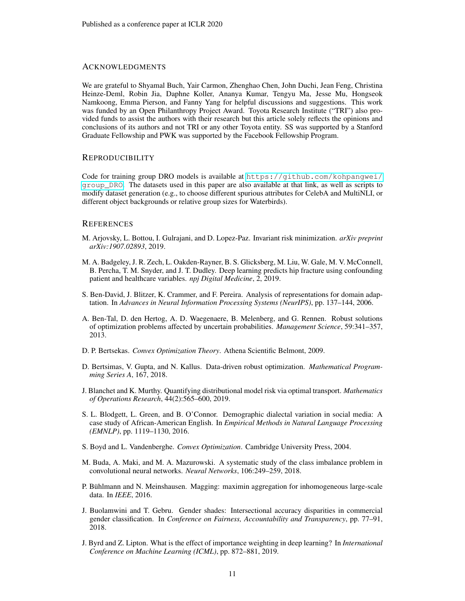## **ACKNOWLEDGMENTS**

We are grateful to Shyamal Buch, Yair Carmon, Zhenghao Chen, John Duchi, Jean Feng, Christina Heinze-Deml, Robin Jia, Daphne Koller, Ananya Kumar, Tengyu Ma, Jesse Mu, Hongseok Namkoong, Emma Pierson, and Fanny Yang for helpful discussions and suggestions. This work was funded by an Open Philanthropy Project Award. Toyota Research Institute ("TRI") also provided funds to assist the authors with their research but this article solely reflects the opinions and conclusions of its authors and not TRI or any other Toyota entity. SS was supported by a Stanford Graduate Fellowship and PWK was supported by the Facebook Fellowship Program.

### REPRODUCIBILITY

Code for training group DRO models is available at [https://github.com/kohpangwei/](https://github.com/kohpangwei/group_DRO) [group\\_DRO](https://github.com/kohpangwei/group_DRO). The datasets used in this paper are also available at that link, as well as scripts to modify dataset generation (e.g., to choose different spurious attributes for CelebA and MultiNLI, or different object backgrounds or relative group sizes for Waterbirds).

#### **REFERENCES**

- <span id="page-10-5"></span>M. Arjovsky, L. Bottou, I. Gulrajani, and D. Lopez-Paz. Invariant risk minimization. *arXiv preprint arXiv:1907.02893*, 2019.
- <span id="page-10-10"></span>M. A. Badgeley, J. R. Zech, L. Oakden-Rayner, B. S. Glicksberg, M. Liu, W. Gale, M. V. McConnell, B. Percha, T. M. Snyder, and J. T. Dudley. Deep learning predicts hip fracture using confounding patient and healthcare variables. *npj Digital Medicine*, 2, 2019.
- <span id="page-10-7"></span>S. Ben-David, J. Blitzer, K. Crammer, and F. Pereira. Analysis of representations for domain adaptation. In *Advances in Neural Information Processing Systems (NeurIPS)*, pp. 137–144, 2006.
- <span id="page-10-2"></span>A. Ben-Tal, D. den Hertog, A. D. Waegenaere, B. Melenberg, and G. Rennen. Robust solutions of optimization problems affected by uncertain probabilities. *Management Science*, 59:341–357, 2013.
- <span id="page-10-11"></span>D. P. Bertsekas. *Convex Optimization Theory*. Athena Scientific Belmont, 2009.
- <span id="page-10-6"></span>D. Bertsimas, V. Gupta, and N. Kallus. Data-driven robust optimization. *Mathematical Programming Series A*, 167, 2018.
- <span id="page-10-8"></span>J. Blanchet and K. Murthy. Quantifying distributional model risk via optimal transport. *Mathematics of Operations Research*, 44(2):565–600, 2019.
- <span id="page-10-0"></span>S. L. Blodgett, L. Green, and B. O'Connor. Demographic dialectal variation in social media: A case study of African-American English. In *Empirical Methods in Natural Language Processing (EMNLP)*, pp. 1119–1130, 2016.
- <span id="page-10-12"></span>S. Boyd and L. Vandenberghe. *Convex Optimization*. Cambridge University Press, 2004.
- <span id="page-10-4"></span>M. Buda, A. Maki, and M. A. Mazurowski. A systematic study of the class imbalance problem in convolutional neural networks. *Neural Networks*, 106:249–259, 2018.
- <span id="page-10-9"></span>P. Bühlmann and N. Meinshausen. Magging: maximin aggregation for inhomogeneous large-scale data. In *IEEE*, 2016.
- <span id="page-10-1"></span>J. Buolamwini and T. Gebru. Gender shades: Intersectional accuracy disparities in commercial gender classification. In *Conference on Fairness, Accountability and Transparency*, pp. 77–91, 2018.
- <span id="page-10-3"></span>J. Byrd and Z. Lipton. What is the effect of importance weighting in deep learning? In *International Conference on Machine Learning (ICML)*, pp. 872–881, 2019.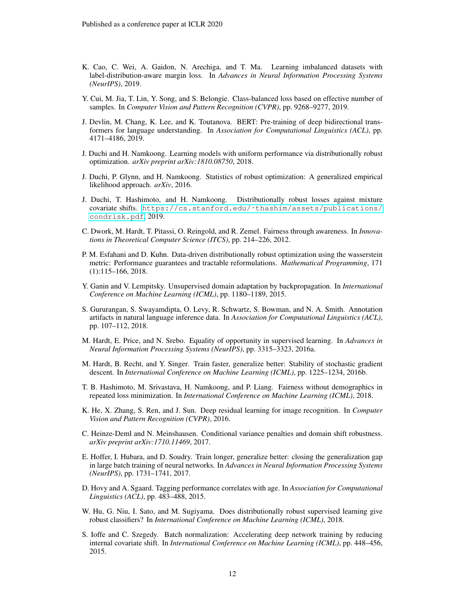- <span id="page-11-11"></span>K. Cao, C. Wei, A. Gaidon, N. Arechiga, and T. Ma. Learning imbalanced datasets with label-distribution-aware margin loss. In *Advances in Neural Information Processing Systems (NeurIPS)*, 2019.
- <span id="page-11-12"></span>Y. Cui, M. Jia, T. Lin, Y. Song, and S. Belongie. Class-balanced loss based on effective number of samples. In *Computer Vision and Pattern Recognition (CVPR)*, pp. 9268–9277, 2019.
- <span id="page-11-9"></span>J. Devlin, M. Chang, K. Lee, and K. Toutanova. BERT: Pre-training of deep bidirectional transformers for language understanding. In *Association for Computational Linguistics (ACL)*, pp. 4171–4186, 2019.
- <span id="page-11-5"></span>J. Duchi and H. Namkoong. Learning models with uniform performance via distributionally robust optimization. *arXiv preprint arXiv:1810.08750*, 2018.
- <span id="page-11-4"></span>J. Duchi, P. Glynn, and H. Namkoong. Statistics of robust optimization: A generalized empirical likelihood approach. *arXiv*, 2016.
- <span id="page-11-2"></span>J. Duchi, T. Hashimoto, and H. Namkoong. Distributionally robust losses against mixture covariate shifts. [https://cs.stanford.edu/˜thashim/assets/publications/](https://cs.stanford.edu/~thashim/assets/publications/condrisk.pdf) [condrisk.pdf](https://cs.stanford.edu/~thashim/assets/publications/condrisk.pdf), 2019.
- <span id="page-11-14"></span>C. Dwork, M. Hardt, T. Pitassi, O. Reingold, and R. Zemel. Fairness through awareness. In *Innovations in Theoretical Computer Science (ITCS)*, pp. 214–226, 2012.
- <span id="page-11-16"></span>P. M. Esfahani and D. Kuhn. Data-driven distributionally robust optimization using the wasserstein metric: Performance guarantees and tractable reformulations. *Mathematical Programming*, 171 (1):115–166, 2018.
- <span id="page-11-13"></span>Y. Ganin and V. Lempitsky. Unsupervised domain adaptation by backpropagation. In *International Conference on Machine Learning (ICML)*, pp. 1180–1189, 2015.
- <span id="page-11-3"></span>S. Gururangan, S. Swayamdipta, O. Levy, R. Schwartz, S. Bowman, and N. A. Smith. Annotation artifacts in natural language inference data. In *Association for Computational Linguistics (ACL)*, pp. 107–112, 2018.
- <span id="page-11-15"></span>M. Hardt, E. Price, and N. Srebo. Equality of opportunity in supervised learning. In *Advances in Neural Information Processing Systems (NeurIPS)*, pp. 3315–3323, 2016a.
- <span id="page-11-10"></span>M. Hardt, B. Recht, and Y. Singer. Train faster, generalize better: Stability of stochastic gradient descent. In *International Conference on Machine Learning (ICML)*, pp. 1225–1234, 2016b.
- <span id="page-11-1"></span>T. B. Hashimoto, M. Srivastava, H. Namkoong, and P. Liang. Fairness without demographics in repeated loss minimization. In *International Conference on Machine Learning (ICML)*, 2018.
- <span id="page-11-8"></span>K. He, X. Zhang, S. Ren, and J. Sun. Deep residual learning for image recognition. In *Computer Vision and Pattern Recognition (CVPR)*, 2016.
- <span id="page-11-17"></span>C. Heinze-Deml and N. Meinshausen. Conditional variance penalties and domain shift robustness. *arXiv preprint arXiv:1710.11469*, 2017.
- <span id="page-11-6"></span>E. Hoffer, I. Hubara, and D. Soudry. Train longer, generalize better: closing the generalization gap in large batch training of neural networks. In *Advances in Neural Information Processing Systems (NeurIPS)*, pp. 1731–1741, 2017.
- <span id="page-11-0"></span>D. Hovy and A. Sgaard. Tagging performance correlates with age. In *Association for Computational Linguistics (ACL)*, pp. 483–488, 2015.
- <span id="page-11-7"></span>W. Hu, G. Niu, I. Sato, and M. Sugiyama. Does distributionally robust supervised learning give robust classifiers? In *International Conference on Machine Learning (ICML)*, 2018.
- <span id="page-11-18"></span>S. Ioffe and C. Szegedy. Batch normalization: Accelerating deep network training by reducing internal covariate shift. In *International Conference on Machine Learning (ICML)*, pp. 448–456, 2015.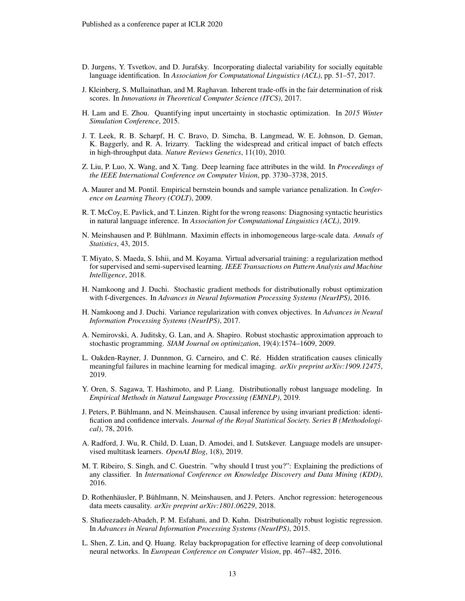- <span id="page-12-0"></span>D. Jurgens, Y. Tsvetkov, and D. Jurafsky. Incorporating dialectal variability for socially equitable language identification. In *Association for Computational Linguistics (ACL)*, pp. 51–57, 2017.
- <span id="page-12-13"></span>J. Kleinberg, S. Mullainathan, and M. Raghavan. Inherent trade-offs in the fair determination of risk scores. In *Innovations in Theoretical Computer Science (ITCS)*, 2017.
- <span id="page-12-10"></span>H. Lam and E. Zhou. Quantifying input uncertainty in stochastic optimization. In *2015 Winter Simulation Conference*, 2015.
- <span id="page-12-18"></span>J. T. Leek, R. B. Scharpf, H. C. Bravo, D. Simcha, B. Langmead, W. E. Johnson, D. Geman, K. Baggerly, and R. A. Irizarry. Tackling the widespread and critical impact of batch effects in high-throughput data. *Nature Reviews Genetics*, 11(10), 2010.
- <span id="page-12-6"></span>Z. Liu, P. Luo, X. Wang, and X. Tang. Deep learning face attributes in the wild. In *Proceedings of the IEEE International Conference on Computer Vision*, pp. 3730–3738, 2015.
- <span id="page-12-3"></span>A. Maurer and M. Pontil. Empirical bernstein bounds and sample variance penalization. In *Conference on Learning Theory (COLT)*, 2009.
- <span id="page-12-1"></span>R. T. McCoy, E. Pavlick, and T. Linzen. Right for the wrong reasons: Diagnosing syntactic heuristics in natural language inference. In *Association for Computational Linguistics (ACL)*, 2019.
- <span id="page-12-17"></span>N. Meinshausen and P. Bühlmann. Maximin effects in inhomogeneous large-scale data. Annals of *Statistics*, 43, 2015.
- <span id="page-12-14"></span>T. Miyato, S. Maeda, S. Ishii, and M. Koyama. Virtual adversarial training: a regularization method for supervised and semi-supervised learning. *IEEE Transactions on Pattern Analysis and Machine Intelligence*, 2018.
- <span id="page-12-11"></span>H. Namkoong and J. Duchi. Stochastic gradient methods for distributionally robust optimization with f-divergences. In *Advances in Neural Information Processing Systems (NeurIPS)*, 2016.
- <span id="page-12-5"></span>H. Namkoong and J. Duchi. Variance regularization with convex objectives. In *Advances in Neural Information Processing Systems (NeurIPS)*, 2017.
- <span id="page-12-12"></span>A. Nemirovski, A. Juditsky, G. Lan, and A. Shapiro. Robust stochastic approximation approach to stochastic programming. *SIAM Journal on optimization*, 19(4):1574–1609, 2009.
- <span id="page-12-19"></span>L. Oakden-Rayner, J. Dunnmon, G. Carneiro, and C. Re. Hidden stratification causes clinically ´ meaningful failures in machine learning for medical imaging. *arXiv preprint arXiv:1909.12475*, 2019.
- <span id="page-12-2"></span>Y. Oren, S. Sagawa, T. Hashimoto, and P. Liang. Distributionally robust language modeling. In *Empirical Methods in Natural Language Processing (EMNLP)*, 2019.
- <span id="page-12-15"></span>J. Peters, P. Bühlmann, and N. Meinshausen. Causal inference by using invariant prediction: identification and confidence intervals. *Journal of the Royal Statistical Society. Series B (Methodological)*, 78, 2016.
- <span id="page-12-8"></span>A. Radford, J. Wu, R. Child, D. Luan, D. Amodei, and I. Sutskever. Language models are unsupervised multitask learners. *OpenAI Blog*, 1(8), 2019.
- <span id="page-12-7"></span>M. T. Ribeiro, S. Singh, and C. Guestrin. "why should I trust you?": Explaining the predictions of any classifier. In *International Conference on Knowledge Discovery and Data Mining (KDD)*, 2016.
- <span id="page-12-16"></span>D. Rothenhäusler, P. Bühlmann, N. Meinshausen, and J. Peters. Anchor regression: heterogeneous data meets causality. *arXiv preprint arXiv:1801.06229*, 2018.
- <span id="page-12-4"></span>S. Shafieezadeh-Abadeh, P. M. Esfahani, and D. Kuhn. Distributionally robust logistic regression. In *Advances in Neural Information Processing Systems (NeurIPS)*, 2015.
- <span id="page-12-9"></span>L. Shen, Z. Lin, and Q. Huang. Relay backpropagation for effective learning of deep convolutional neural networks. In *European Conference on Computer Vision*, pp. 467–482, 2016.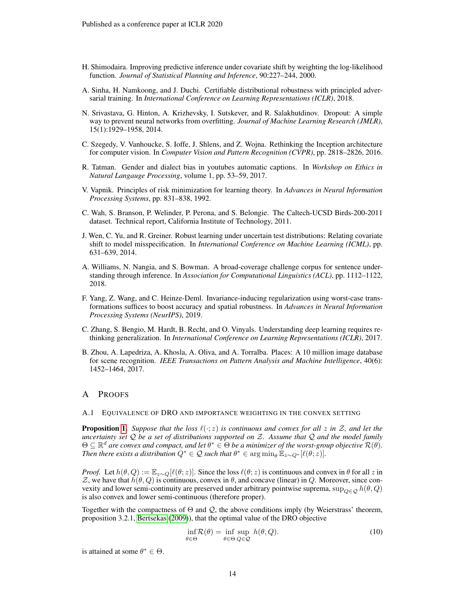- <span id="page-13-7"></span>H. Shimodaira. Improving predictive inference under covariate shift by weighting the log-likelihood function. *Journal of Statistical Planning and Inference*, 90:227–244, 2000.
- <span id="page-13-9"></span>A. Sinha, H. Namkoong, and J. Duchi. Certifiable distributional robustness with principled adversarial training. In *International Conference on Learning Representations (ICLR)*, 2018.
- <span id="page-13-12"></span>N. Srivastava, G. Hinton, A. Krizhevsky, I. Sutskever, and R. Salakhutdinov. Dropout: A simple way to prevent neural networks from overfitting. *Journal of Machine Learning Research (JMLR)*, 15(1):1929–1958, 2014.
- <span id="page-13-10"></span>C. Szegedy, V. Vanhoucke, S. Ioffe, J. Shlens, and Z. Wojna. Rethinking the Inception architecture for computer vision. In *Computer Vision and Pattern Recognition (CVPR)*, pp. 2818–2826, 2016.
- <span id="page-13-0"></span>R. Tatman. Gender and dialect bias in youtubes automatic captions. In *Workshop on Ethics in Natural Langauge Processing*, volume 1, pp. 53–59, 2017.
- <span id="page-13-6"></span>V. Vapnik. Principles of risk minimization for learning theory. In *Advances in Neural Information Processing Systems*, pp. 831–838, 1992.
- <span id="page-13-2"></span>C. Wah, S. Branson, P. Welinder, P. Perona, and S. Belongie. The Caltech-UCSD Birds-200-2011 dataset. Technical report, California Institute of Technology, 2011.
- <span id="page-13-4"></span>J. Wen, C. Yu, and R. Greiner. Robust learning under uncertain test distributions: Relating covariate shift to model misspecification. In *International Conference on Machine Learning (ICML)*, pp. 631–639, 2014.
- <span id="page-13-1"></span>A. Williams, N. Nangia, and S. Bowman. A broad-coverage challenge corpus for sentence understanding through inference. In *Association for Computational Linguistics (ACL)*, pp. 1112–1122, 2018.
- <span id="page-13-11"></span>F. Yang, Z. Wang, and C. Heinze-Deml. Invariance-inducing regularization using worst-case transformations suffices to boost accuracy and spatial robustness. In *Advances in Neural Information Processing Systems (NeurIPS)*, 2019.
- <span id="page-13-3"></span>C. Zhang, S. Bengio, M. Hardt, B. Recht, and O. Vinyals. Understanding deep learning requires rethinking generalization. In *International Conference on Learning Representations (ICLR)*, 2017.
- <span id="page-13-5"></span>B. Zhou, A. Lapedriza, A. Khosla, A. Oliva, and A. Torralba. Places: A 10 million image database for scene recognition. *IEEE Transactions on Pattern Analysis and Machine Intelligence*, 40(6): 1452–1464, 2017.

### A PROOFS

#### <span id="page-13-8"></span>A.1 EQUIVALENCE OF DRO AND IMPORTANCE WEIGHTING IN THE CONVEX SETTING

**Proposition [1.](#page-7-2)** Suppose that the loss  $\ell(\cdot; z)$  is continuous and convex for all z in  $\mathcal{Z}$ , and let the *uncertainty set* Q *be a set of distributions supported on* Z*. Assume that* Q *and the model family*  $\Theta \subseteq \mathbb{R}^d$  are convex and compact, and let  $\theta^* \in \Theta$  be a minimizer of the worst-group objective  $\mathcal{R}(\theta)$ . *Then there exists a distribution*  $Q^* \in \mathcal{Q}$  such that  $\theta^* \in \arg\min_{\theta} \mathbb{E}_{z \sim Q^*} [\ell(\theta; z)].$ 

*Proof.* Let  $h(\theta, Q) := \mathbb{E}_{z \sim Q}[\ell(\theta; z)]$ . Since the loss  $\ell(\theta; z)$  is continuous and convex in  $\theta$  for all z in Z, we have that  $h(\theta, Q)$  is continuous, convex in  $\theta$ , and concave (linear) in Q. Moreover, since convexity and lower semi-continuity are preserved under arbitrary pointwise suprema,  $\sup_{Q \in \mathcal{Q}} h(\theta, Q)$ is also convex and lower semi-continuous (therefore proper).

Together with the compactness of  $\Theta$  and  $\mathcal{Q}$ , the above conditions imply (by Weierstrass' theorem, proposition 3.2.1, [Bertsekas](#page-10-11) [\(2009\)](#page-10-11)), that the optimal value of the DRO objective

$$
\inf_{\theta \in \Theta} \mathcal{R}(\theta) = \inf_{\theta \in \Theta} \sup_{Q \in \mathcal{Q}} h(\theta, Q). \tag{10}
$$

is attained at some  $\theta^* \in \Theta$ .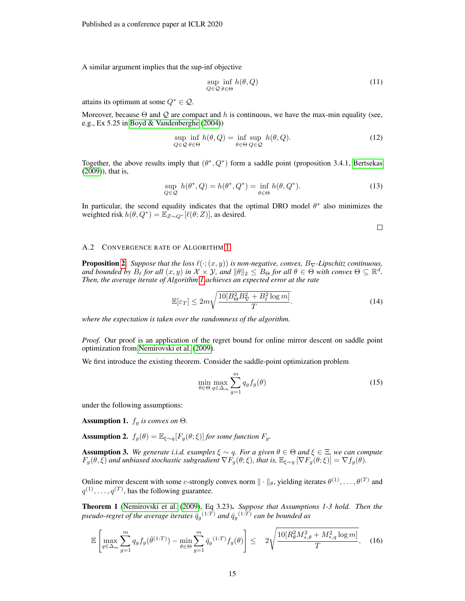A similar argument implies that the sup-inf objective

$$
\sup_{Q \in \mathcal{Q}} \inf_{\theta \in \Theta} h(\theta, Q) \tag{11}
$$

attains its optimum at some  $Q^* \in \mathcal{Q}$ .

Moreover, because  $\Theta$  and  $\mathcal Q$  are compact and h is continuous, we have the max-min equality (see, e.g., Ex 5.25 in [Boyd & Vandenberghe](#page-10-12) [\(2004\)](#page-10-12))

$$
\sup_{Q \in \mathcal{Q}} \inf_{\theta \in \Theta} h(\theta, Q) = \inf_{\theta \in \Theta} \sup_{Q \in \mathcal{Q}} h(\theta, Q). \tag{12}
$$

Together, the above results imply that  $(\theta^*, Q^*)$  form a saddle point (proposition 3.4.1, [Bertsekas](#page-10-11) [\(2009\)](#page-10-11)), that is,

$$
\sup_{Q \in \mathcal{Q}} h(\theta^*, Q) = h(\theta^*, Q^*) = \inf_{\theta \in \Theta} h(\theta, Q^*). \tag{13}
$$

In particular, the second equality indicates that the optimal DRO model  $\theta^*$  also minimizes the weighted risk  $h(\theta, Q^*) = \mathbb{E}_{Z \sim Q^*}[\ell(\theta;Z)]$ , as desired.

$$
\qquad \qquad \Box
$$

#### <span id="page-14-0"></span>A.2 CONVERGENCE RATE OF ALGORITHM [1](#page-8-2)

**Proposition [2.](#page-8-3)** *Suppose that the loss*  $\ell(\cdot; (x, y))$  *is non-negative, convex,*  $B_{\nabla}$ *-Lipschitz continuous, and bounded by*  $B_\ell$  *for all*  $(x, y)$  *in*  $\mathcal{X} \times \mathcal{Y}$ *, and*  $\|\theta\|_2 \leq B_\Theta$  *for all*  $\theta \in \Theta$  *with convex*  $\Theta \subseteq \mathbb{R}^d$ *. Then, the average iterate of Algorithm [1](#page-8-2) achieves an expected error at the rate*

$$
\mathbb{E}[\varepsilon_T] \le 2m\sqrt{\frac{10[B_\Theta^2 B_\nabla^2 + B_\ell^2 \log m]}{T}}.\tag{14}
$$

*where the expectation is taken over the randomness of the algorithm.*

*Proof.* Our proof is an application of the regret bound for online mirror descent on saddle point optimization from [Nemirovski et al.](#page-12-12) [\(2009\)](#page-12-12).

We first introduce the existing theorem. Consider the saddle-point optimization problem

$$
\min_{\theta \in \Theta} \max_{q \in \Delta_m} \sum_{g=1}^m q_g f_g(\theta) \tag{15}
$$

under the following assumptions:

**Assumption 1.**  $f_g$  *is convex on*  $\Theta$ *.* 

**Assumption 2.**  $f_g(\theta) = \mathbb{E}_{\xi \sim q} [F_g(\theta; \xi)]$  *for some function*  $F_g$ .

**Assumption 3.** We generate i.i.d. examples  $\xi \sim q$ . For a given  $\theta \in \Theta$  and  $\xi \in \Xi$ , we can compute  $F_g(\theta, \xi)$  and unbiased stochastic subgradient  $\nabla F_g(\theta; \xi)$ , that is,  $\mathbb{E}_{\xi \sim q} [\nabla F_g(\theta; \xi)] = \nabla f_g(\theta)$ .

Online mirror descent with some c-strongly convex norm  $\|\cdot\|_{\theta}$ , yielding iterates  $\theta^{(1)}, \ldots, \theta^{(T)}$  and  $q^{(1)}, \ldots, q^{(T)}$ , has the following guarantee.

<span id="page-14-1"></span>Theorem 1 [\(Nemirovski et al.](#page-12-12) [\(2009\)](#page-12-12), Eq 3.23). *Suppose that Assumptions 1-3 hold. Then the* pseudo-regret of the average iterates  $\bar{q}_g^{(1:T)}$  and  $\bar{q}_g^{(1:T)}$  can be bounded as

$$
\mathbb{E}\left[\max_{q\in\Delta_m}\sum_{g=1}^m q_g f_g(\bar{\theta}^{(1:T)}) - \min_{\theta\in\Theta}\sum_{g=1}^m \bar{q}_g^{(1:T)} f_g(\theta)\right] \le 2\sqrt{\frac{10[R_\theta^2 M_{*,\theta}^2 + M_{*,q}^2 \log m]}{T}},\tag{16}
$$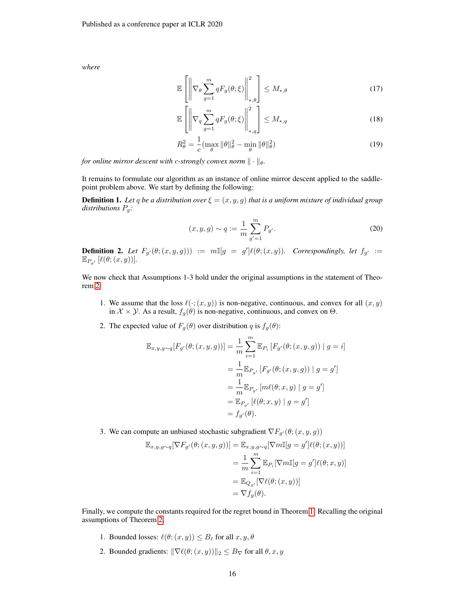*where*

$$
\mathbb{E}\left[\left\|\nabla_{\theta}\sum_{g=1}^{m}qF_{g}(\theta;\xi)\right\|_{*,\theta}^{2}\right] \leq M_{*,\theta} \tag{17}
$$

$$
\mathbb{E}\left[\left\|\nabla_q \sum_{g=1}^m qF_g(\theta;\xi)\right\|_{*,q}^2\right] \leq M_{*,q} \tag{18}
$$

$$
R_{\theta}^{2} = \frac{1}{c} \left( \max_{\theta} \|\theta\|_{\theta}^{2} - \min_{\theta} \|\theta\|_{\theta}^{2} \right) \tag{19}
$$

*for online mirror descent with c-strongly convex norm*  $\|\cdot\|_{\theta}$ *.* 

It remains to formulate our algorithm as an instance of online mirror descent applied to the saddlepoint problem above. We start by defining the following:

**Definition 1.** Let q be a distribution over  $\xi = (x, y, g)$  that is a uniform mixture of individual group *distributions* Pg*:*

$$
(x, y, g) \sim q := \frac{1}{m} \sum_{g'=1}^{m} P_{g'}.
$$
 (20)

**Definition 2.** Let  $F_{g'}(\theta;(x,y,g))) := m\mathbb{I}[g = g']\ell(\theta;(x,y))$ . Correspondingly, let  $f_{g'} :=$  $\mathbb{E}_{P_{g'}}\left[\ell(\theta;(x,y))\right]$ .

We now check that Assumptions 1-3 hold under the original assumptions in the statement of Theorem [2:](#page-8-3)

- 1. We assume that the loss  $\ell(\cdot; (x, y))$  is non-negative, continuous, and convex for all  $(x, y)$ in  $\mathcal{X} \times \mathcal{Y}$ . As a result,  $f_g(\theta)$  is non-negative, continuous, and convex on  $\Theta$ .
- 2. The expected value of  $F_g(\theta)$  over distribution q is  $f_g(\theta)$ :

$$
\mathbb{E}_{x,y,g\sim q}[F_{g'}(\theta;(x,y,g))] = \frac{1}{m} \sum_{i=1}^{m} \mathbb{E}_{P_i} [F_{g'}(\theta;(x,y,g)) | g = i]
$$
  

$$
= \frac{1}{m} \mathbb{E}_{P_{g'}} [F_{g'}(\theta;(x,y,g)) | g = g']
$$
  

$$
= \frac{1}{m} \mathbb{E}_{P_{g'}} [m\ell(\theta;x,y) | g = g']
$$
  

$$
= \mathbb{E}_{P_{g'}} [\ell(\theta;x,y) | g = g']
$$
  

$$
= f_{g'}(\theta).
$$

3. We can compute an unbiased stochastic subgradient  $\nabla F_{g'}(\theta; (x, y, g))$ 

$$
\mathbb{E}_{x,y,g\sim q}[\nabla F_{g'}(\theta;(x,y,g))] = \mathbb{E}_{x,y,g\sim q}[\nabla m\mathbb{I}[g=g']\ell(\theta;(x,y))]
$$
  
\n
$$
= \frac{1}{m} \sum_{i=1}^{m} \mathbb{E}_{P_i}[\nabla m\mathbb{I}[g=g']\ell(\theta;x,y)]
$$
  
\n
$$
= \mathbb{E}_{Q_{g'}}[\nabla \ell(\theta;(x,y))]
$$
  
\n
$$
= \nabla f_g(\theta).
$$

Finally, we compute the constants required for the regret bound in Theorem [1.](#page-14-1) Recalling the original assumptions of Theorem [2,](#page-8-3)

- 1. Bounded losses:  $\ell(\theta; (x, y)) \leq B_\ell$  for all  $x, y, \theta$
- 2. Bounded gradients:  $\|\nabla \ell(\theta; (x, y))\|_2 \leq B_{\nabla}$  for all  $\theta, x, y$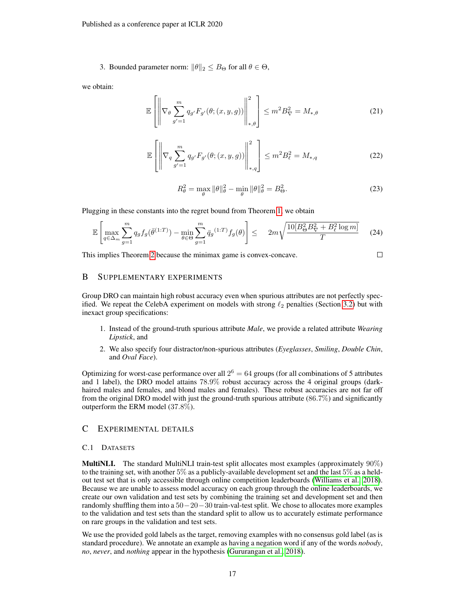3. Bounded parameter norm:  $\|\theta\|_2 \leq B_{\Theta}$  for all  $\theta \in \Theta$ ,

we obtain:

$$
\mathbb{E}\left[\left\|\nabla_{\theta}\sum_{g'=1}^{m}q_{g'}F_{g'}(\theta;(x,y,g))\right\|_{*,\theta}^{2}\right] \leq m^{2}B_{\nabla}^{2} = M_{*,\theta}
$$
\n(21)

$$
\mathbb{E}\left[\left\|\nabla_q \sum_{g'=1}^m q_{g'} F_{g'}(\theta; (x, y, g))\right\|_{*,q}^2\right] \le m^2 B_\ell^2 = M_{*,q}
$$
\n(22)

$$
R_{\theta}^{2} = \max_{\theta} \|\theta\|_{\theta}^{2} - \min_{\theta} \|\theta\|_{\theta}^{2} = B_{\Theta}^{2}.
$$
 (23)

Plugging in these constants into the regret bound from Theorem [1,](#page-14-1) we obtain

$$
\mathbb{E}\left[\max_{q\in\Delta_m}\sum_{g=1}^m q_g f_g(\bar{\theta}^{(1:T)}) - \min_{\theta\in\Theta}\sum_{g=1}^m \bar{q}_g^{(1:T)} f_g(\theta)\right] \leq 2m\sqrt{\frac{10[B_\Theta^2 B_\nabla^2 + B_\ell^2 \log m]}{T}} \tag{24}
$$

This implies Theorem [2](#page-8-3) because the minimax game is convex-concave.

 $\Box$ 

# <span id="page-16-1"></span>B SUPPLEMENTARY EXPERIMENTS

Group DRO can maintain high robust accuracy even when spurious attributes are not perfectly specified. We repeat the CelebA experiment on models with strong  $\ell_2$  penalties (Section [3.2\)](#page-3-1) but with inexact group specifications:

- 1. Instead of the ground-truth spurious attribute *Male*, we provide a related attribute *Wearing Lipstick*, and
- 2. We also specify four distractor/non-spurious attributes (*Eyeglasses*, *Smiling*, *Double Chin*, and *Oval Face*).

Optimizing for worst-case performance over all  $2^6 = 64$  groups (for all combinations of 5 attributes and 1 label), the DRO model attains 78.9% robust accuracy across the 4 original groups (darkhaired males and females, and blond males and females). These robust accuracies are not far off from the original DRO model with just the ground-truth spurious attribute (86.7%) and significantly outperform the ERM model (37.8%).

# C EXPERIMENTAL DETAILS

#### <span id="page-16-0"></span>C.1 DATASETS

MultiNLI. The standard MultiNLI train-test split allocates most examples (approximately 90%) to the training set, with another 5% as a publicly-available development set and the last 5% as a heldout test set that is only accessible through online competition leaderboards [\(Williams et al., 2018\)](#page-13-1). Because we are unable to assess model accuracy on each group through the online leaderboards, we create our own validation and test sets by combining the training set and development set and then randomly shuffling them into a  $50-20-30$  train-val-test split. We chose to allocates more examples to the validation and test sets than the standard split to allow us to accurately estimate performance on rare groups in the validation and test sets.

We use the provided gold labels as the target, removing examples with no consensus gold label (as is standard procedure). We annotate an example as having a negation word if any of the words *nobody*, *no*, *never*, and *nothing* appear in the hypothesis [\(Gururangan et al., 2018\)](#page-11-3).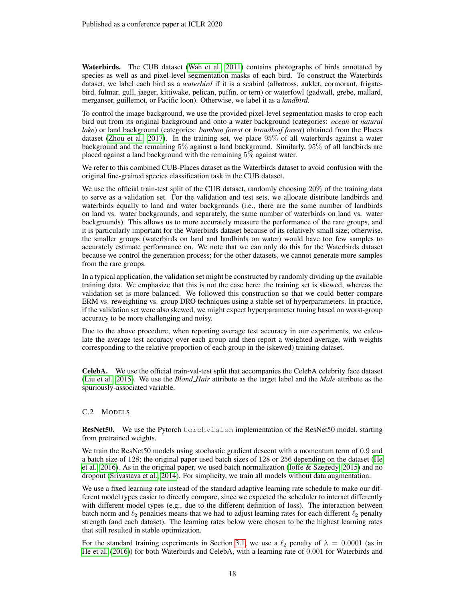Waterbirds. The CUB dataset [\(Wah et al., 2011\)](#page-13-2) contains photographs of birds annotated by species as well as and pixel-level segmentation masks of each bird. To construct the Waterbirds dataset, we label each bird as a *waterbird* if it is a seabird (albatross, auklet, cormorant, frigatebird, fulmar, gull, jaeger, kittiwake, pelican, puffin, or tern) or waterfowl (gadwall, grebe, mallard, merganser, guillemot, or Pacific loon). Otherwise, we label it as a *landbird*.

To control the image background, we use the provided pixel-level segmentation masks to crop each bird out from its original background and onto a water background (categories: *ocean* or *natural lake*) or land background (categories: *bamboo forest* or *broadleaf forest*) obtained from the Places dataset [\(Zhou et al., 2017\)](#page-13-5). In the training set, we place 95% of all waterbirds against a water background and the remaining 5% against a land background. Similarly, 95% of all landbirds are placed against a land background with the remaining 5% against water.

We refer to this combined CUB-Places dataset as the Waterbirds dataset to avoid confusion with the original fine-grained species classification task in the CUB dataset.

We use the official train-test split of the CUB dataset, randomly choosing 20% of the training data to serve as a validation set. For the validation and test sets, we allocate distribute landbirds and waterbirds equally to land and water backgrounds (i.e., there are the same number of landbirds on land vs. water backgrounds, and separately, the same number of waterbirds on land vs. water backgrounds). This allows us to more accurately measure the performance of the rare groups, and it is particularly important for the Waterbirds dataset because of its relatively small size; otherwise, the smaller groups (waterbirds on land and landbirds on water) would have too few samples to accurately estimate performance on. We note that we can only do this for the Waterbirds dataset because we control the generation process; for the other datasets, we cannot generate more samples from the rare groups.

In a typical application, the validation set might be constructed by randomly dividing up the available training data. We emphasize that this is not the case here: the training set is skewed, whereas the validation set is more balanced. We followed this construction so that we could better compare ERM vs. reweighting vs. group DRO techniques using a stable set of hyperparameters. In practice, if the validation set were also skewed, we might expect hyperparameter tuning based on worst-group accuracy to be more challenging and noisy.

Due to the above procedure, when reporting average test accuracy in our experiments, we calculate the average test accuracy over each group and then report a weighted average, with weights corresponding to the relative proportion of each group in the (skewed) training dataset.

CelebA. We use the official train-val-test split that accompanies the CelebA celebrity face dataset [\(Liu et al., 2015\)](#page-12-6). We use the *Blond Hair* attribute as the target label and the *Male* attribute as the spuriously-associated variable.

## <span id="page-17-0"></span>C.2 MODELS

ResNet50. We use the Pytorch torchvision implementation of the ResNet50 model, starting from pretrained weights.

We train the ResNet50 models using stochastic gradient descent with a momentum term of 0.9 and a batch size of 128; the original paper used batch sizes of 128 or 256 depending on the dataset [\(He](#page-11-8) [et al., 2016\)](#page-11-8). As in the original paper, we used batch normalization [\(Ioffe & Szegedy, 2015\)](#page-11-18) and no dropout [\(Srivastava et al., 2014\)](#page-13-12). For simplicity, we train all models without data augmentation.

We use a fixed learning rate instead of the standard adaptive learning rate schedule to make our different model types easier to directly compare, since we expected the scheduler to interact differently with different model types (e.g., due to the different definition of loss). The interaction between batch norm and  $\ell_2$  penalties means that we had to adjust learning rates for each different  $\ell_2$  penalty strength (and each dataset). The learning rates below were chosen to be the highest learning rates that still resulted in stable optimization.

For the standard training experiments in Section [3.1,](#page-3-0) we use a  $\ell_2$  penalty of  $\lambda = 0.0001$  (as in [He et al.](#page-11-8) [\(2016\)](#page-11-8)) for both Waterbirds and CelebA, with a learning rate of 0.001 for Waterbirds and